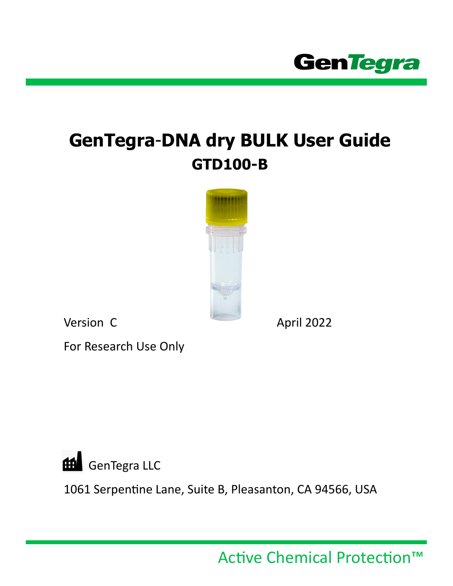

# **GenTegra**-**DNA dry BULK User Guide GTD100-B**



Version C April 2022

For Research Use Only



1061 Serpentine Lane, Suite B, Pleasanton, CA 94566, USA

Active Chemical Protection™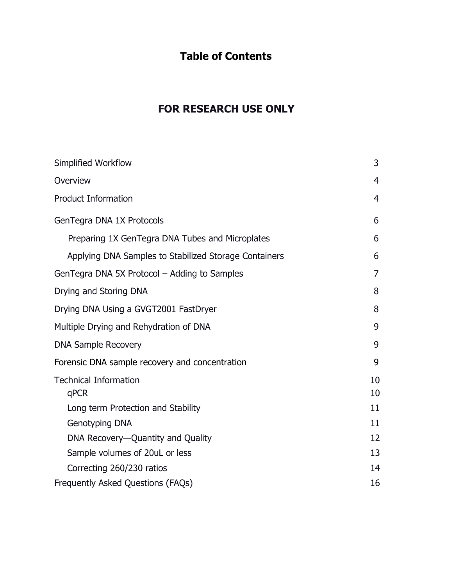# **Table of Contents**

# **FOR RESEARCH USE ONLY**

| 3              |
|----------------|
| $\overline{4}$ |
| 4              |
| 6              |
| 6              |
| 6              |
| 7              |
| 8              |
| 8              |
| 9              |
| 9              |
| 9              |
| 10<br>10       |
| 11             |
| 11             |
| 12             |
| 13             |
| 14             |
| 16             |
|                |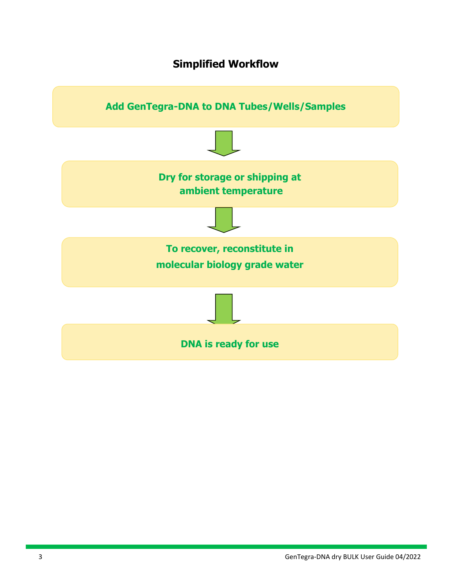### **Simplified Workflow**

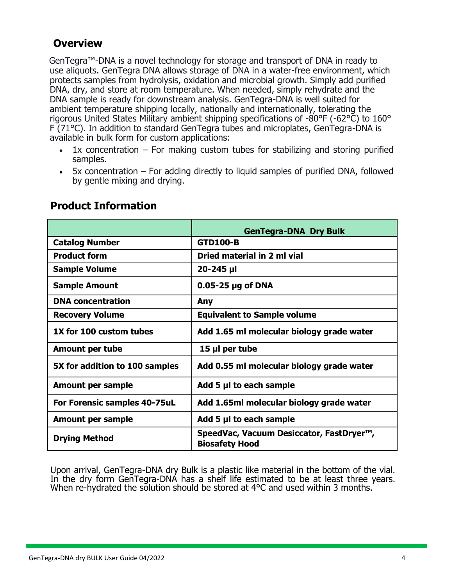### **Overview**

GenTegra™-DNA is a novel technology for storage and transport of DNA in ready to use aliquots. GenTegra DNA allows storage of DNA in a water-free environment, which protects samples from hydrolysis, oxidation and microbial growth. Simply add purified DNA, dry, and store at room temperature. When needed, simply rehydrate and the DNA sample is ready for downstream analysis. GenTegra-DNA is well suited for ambient temperature shipping locally, nationally and internationally, tolerating the rigorous United States Military ambient shipping specifications of -80°F (-62°C) to 160° F (71°C). In addition to standard GenTegra tubes and microplates, GenTegra-DNA is available in bulk form for custom applications:

- $1x$  concentration For making custom tubes for stabilizing and storing purified samples.
- 5x concentration For adding directly to liquid samples of purified DNA, followed by gentle mixing and drying.

|                                | <b>GenTegra-DNA Dry Bulk</b>                                                   |  |  |
|--------------------------------|--------------------------------------------------------------------------------|--|--|
| <b>Catalog Number</b>          | <b>GTD100-B</b>                                                                |  |  |
| <b>Product form</b>            | Dried material in 2 ml vial                                                    |  |  |
| <b>Sample Volume</b>           | $20 - 245$ µ                                                                   |  |  |
| <b>Sample Amount</b>           | $0.05 - 25$ µg of DNA                                                          |  |  |
| <b>DNA</b> concentration       | Any                                                                            |  |  |
| <b>Recovery Volume</b>         | <b>Equivalent to Sample volume</b>                                             |  |  |
| 1X for 100 custom tubes        | Add 1.65 ml molecular biology grade water                                      |  |  |
| <b>Amount per tube</b>         | 15 µl per tube                                                                 |  |  |
| 5X for addition to 100 samples | Add 0.55 ml molecular biology grade water                                      |  |  |
| Amount per sample              | Add 5 µl to each sample                                                        |  |  |
| For Forensic samples 40-75uL   | Add 1.65ml molecular biology grade water                                       |  |  |
| Amount per sample              | Add 5 µl to each sample                                                        |  |  |
| <b>Drying Method</b>           | SpeedVac, Vacuum Desiccator, FastDryer <sup>™</sup> ,<br><b>Biosafety Hood</b> |  |  |

### **Product Information**

Upon arrival, GenTegra-DNA dry Bulk is a plastic like material in the bottom of the vial. In the dry form GenTegra-DNA has a shelf life estimated to be at least three years. When re-hydrated the solution should be stored at 4°C and used within 3 months.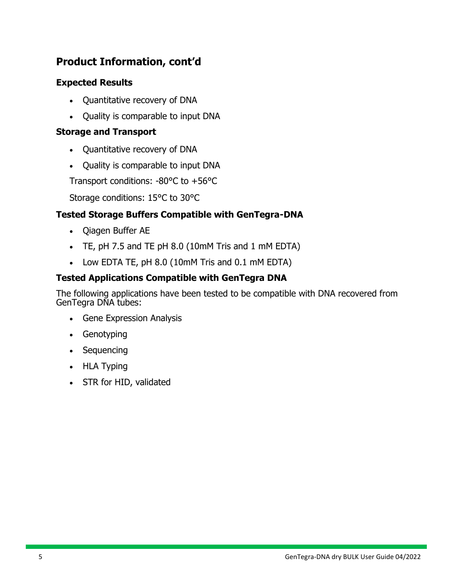# **Product Information, cont'd**

#### **Expected Results**

- Quantitative recovery of DNA
- Quality is comparable to input DNA

#### **Storage and Transport**

- Quantitative recovery of DNA
- Quality is comparable to input DNA

Transport conditions: -80°C to +56°C

Storage conditions: 15°C to 30°C

### **Tested Storage Buffers Compatible with GenTegra-DNA**

- Qiagen Buffer AE
- TE, pH 7.5 and TE pH 8.0 (10mM Tris and 1 mM EDTA)
- Low EDTA TE, pH 8.0 (10mM Tris and 0.1 mM EDTA)

### **Tested Applications Compatible with GenTegra DNA**

The following applications have been tested to be compatible with DNA recovered from GenTegra DNA tubes:

- Gene Expression Analysis
- Genotyping
- Sequencing
- HLA Typing
- STR for HID, validated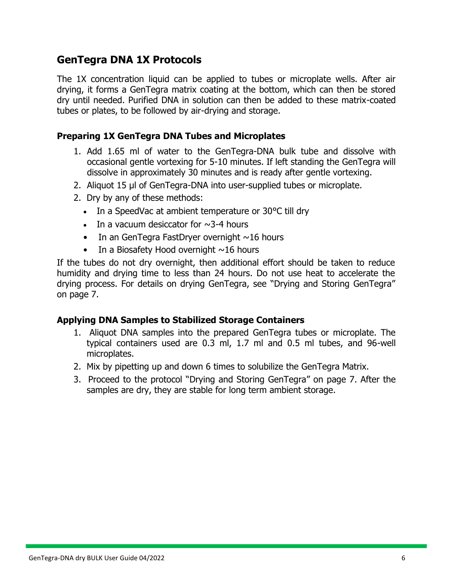# **GenTegra DNA 1X Protocols**

The 1X concentration liquid can be applied to tubes or microplate wells. After air drying, it forms a GenTegra matrix coating at the bottom, which can then be stored dry until needed. Purified DNA in solution can then be added to these matrix-coated tubes or plates, to be followed by air-drying and storage.

#### **Preparing 1X GenTegra DNA Tubes and Microplates**

- 1. Add 1.65 ml of water to the GenTegra-DNA bulk tube and dissolve with occasional gentle vortexing for 5-10 minutes. If left standing the GenTegra will dissolve in approximately 30 minutes and is ready after gentle vortexing.
- 2. Aliquot 15 µl of GenTegra-DNA into user-supplied tubes or microplate.
- 2. Dry by any of these methods:
	- In a SpeedVac at ambient temperature or 30 °C till dry
	- In a vacuum desiccator for  $\sim$ 3-4 hours
	- In an GenTegra FastDryer overnight  $\sim$ 16 hours
	- In a Biosafety Hood overnight  $\sim$ 16 hours

If the tubes do not dry overnight, then additional effort should be taken to reduce humidity and drying time to less than 24 hours. Do not use heat to accelerate the drying process. For details on drying GenTegra, see "Drying and Storing GenTegra" on page 7.

#### **Applying DNA Samples to Stabilized Storage Containers**

- 1. Aliquot DNA samples into the prepared GenTegra tubes or microplate. The typical containers used are 0.3 ml, 1.7 ml and 0.5 ml tubes, and 96-well microplates.
- 2. Mix by pipetting up and down 6 times to solubilize the GenTegra Matrix.
- 3. Proceed to the protocol "Drying and Storing GenTegra" on page 7. After the samples are dry, they are stable for long term ambient storage.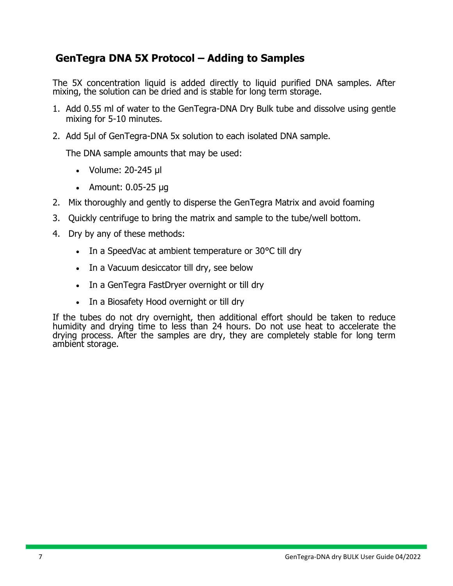# **GenTegra DNA 5X Protocol – Adding to Samples**

The 5X concentration liquid is added directly to liquid purified DNA samples. After mixing, the solution can be dried and is stable for long term storage.

- 1. Add 0.55 ml of water to the GenTegra-DNA Dry Bulk tube and dissolve using gentle mixing for 5-10 minutes.
- 2. Add 5µl of GenTegra-DNA 5x solution to each isolated DNA sample.

The DNA sample amounts that may be used:

- Volume: 20-245 µl
- Amount: 0.05-25 µg
- 2. Mix thoroughly and gently to disperse the GenTegra Matrix and avoid foaming
- 3. Quickly centrifuge to bring the matrix and sample to the tube/well bottom.
- 4. Dry by any of these methods:
	- In a SpeedVac at ambient temperature or 30 °C till dry
	- In a Vacuum desiccator till dry, see below
	- In a GenTegra FastDryer overnight or till dry
	- In a Biosafety Hood overnight or till dry

If the tubes do not dry overnight, then additional effort should be taken to reduce humidity and drying time to less than 24 hours. Do not use heat to accelerate the drying process. After the samples are dry, they are completely stable for long term ambient storage.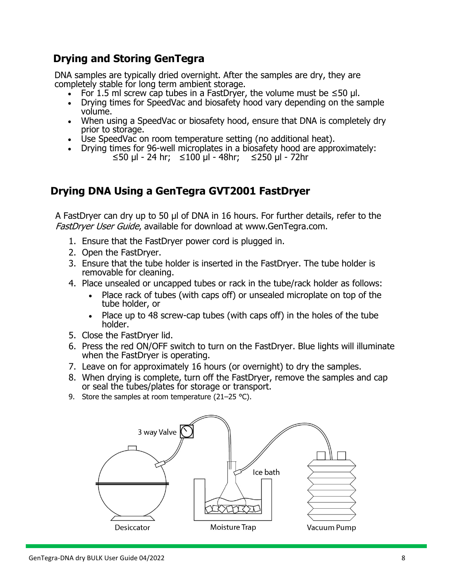# **Drying and Storing GenTegra**

DNA samples are typically dried overnight. After the samples are dry, they are completely stable for long term ambient storage.

- For 1.5 ml screw cap tubes in a FastDryer, the volume must be  $\leq 50$  µl.
- Drying times for SpeedVac and biosafety hood vary depending on the sample volume.
- When using a SpeedVac or biosafety hood, ensure that DNA is completely dry prior to storage.
- Use SpeedVac on room temperature setting (no additional heat).
- Drying times for 96-well microplates in a biosafety hood are approximately: ≤50 µl - 24 hr; ≤100 µl - 48hr; ≤250 µl - 72hr

# **Drying DNA Using a GenTegra GVT2001 FastDryer**

A FastDryer can dry up to 50 µl of DNA in 16 hours. For further details, refer to the FastDryer User Guide[, available for download at w](file:///C:/Users/James%20Nelson/Documents/0%20Gentegra/GT%20Manuals%20and%20manual%20format/GenTegra-DNA%20manual/www.mygentegra.com)[ww.GenTegra.com.](file:///C:/Users/James%20Nelson/Documents/0%20Gentegra/GT%20Manuals%20and%20manual%20format/GenTegra-DNA%20manual/www.integenx.com)

- 1. Ensure that the FastDryer power cord is plugged in.
- 2. Open the FastDryer.
- 3. Ensure that the tube holder is inserted in the FastDryer. The tube holder is removable for cleaning.
- 4. Place unsealed or uncapped tubes or rack in the tube/rack holder as follows:
	- Place rack of tubes (with caps off) or unsealed microplate on top of the tube holder, or
	- Place up to 48 screw-cap tubes (with caps off) in the holes of the tube holder.
- 5. Close the FastDryer lid.
- 6. Press the red ON/OFF switch to turn on the FastDryer. Blue lights will illuminate when the FastDryer is operating.
- 7. Leave on for approximately 16 hours (or overnight) to dry the samples.
- 8. When drying is complete, turn off the FastDryer, remove the samples and cap or seal the tubes/plates for storage or transport.
- 9. Store the samples at room temperature (21–25 °C).

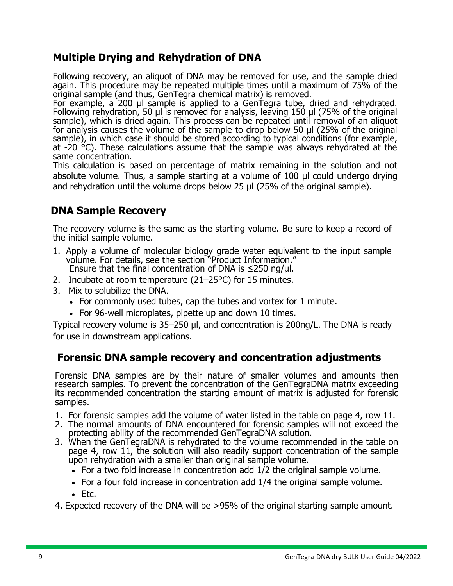# **Multiple Drying and Rehydration of DNA**

Following recovery, an aliquot of DNA may be removed for use, and the sample dried again. This procedure may be repeated multiple times until a maximum of 75% of the original sample (and thus, GenTegra chemical matrix) is removed.

For example, a 200 µl sample is applied to a GenTegra tube, dried and rehydrated. Following rehydration, 50 µl is removed for analysis, leaving 150 µl (75% of the original sample), which is dried again. This process can be repeated until removal of an aliquot for analysis causes the volume of the sample to drop below 50 µl (25% of the original sample), in which case it should be stored according to typical conditions (for example, at  $-20$   $\degree$ C). These calculations assume that the sample was always rehydrated at the same concentration.

This calculation is based on percentage of matrix remaining in the solution and not absolute volume. Thus, a sample starting at a volume of 100 µl could undergo drying and rehydration until the volume drops below 25 µl (25% of the original sample).

# **DNA Sample Recovery**

The recovery volume is the same as the starting volume. Be sure to keep a record of the initial sample volume.

- 1. Apply a volume of molecular biology grade water equivalent to the input sample volume. For details, see the section "Product Information." Ensure that the final concentration of DNA is  $\leq$ 250 ng/ $\mu$ l.
- 2. Incubate at room temperature (21–25°C) for 15 minutes.
- 3. Mix to solubilize the DNA.
	- For commonly used tubes, cap the tubes and vortex for 1 minute.
	- For 96-well microplates, pipette up and down 10 times.

Typical recovery volume is 35–250 µl, and concentration is 200ng/L. The DNA is ready for use in downstream applications.

### **Forensic DNA sample recovery and concentration adjustments**

Forensic DNA samples are by their nature of smaller volumes and amounts then research samples. To prevent the concentration of the GenTegraDNA matrix exceeding its recommended concentration the starting amount of matrix is adjusted for forensic samples.

- 1. For forensic samples add the volume of water listed in the table on page 4, row 11.
- 2. The normal amounts of DNA encountered for forensic samples will not exceed the protecting ability of the recommended GenTegraDNA solution.
- 3. When the GenTegraDNA is rehydrated to the volume recommended in the table on page 4, row 11, the solution will also readily support concentration of the sample upon rehydration with a smaller than original sample volume.
	- For a two fold increase in concentration add 1/2 the original sample volume.
	- For a four fold increase in concentration add 1/4 the original sample volume.
	- Etc.

4. Expected recovery of the DNA will be >95% of the original starting sample amount.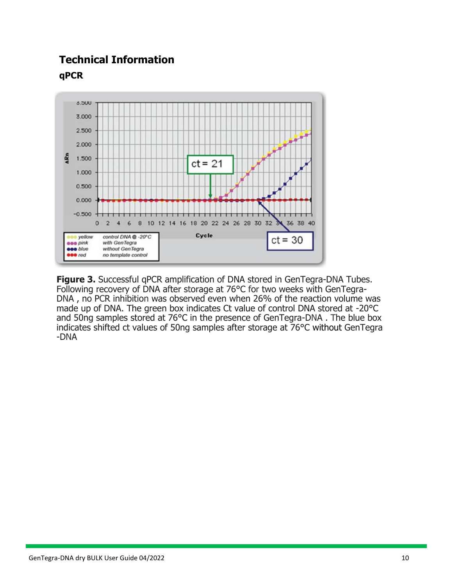# **Technical Information qPCR**



**Figure 3.** Successful qPCR amplification of DNA stored in GenTegra-DNA Tubes. Following recovery of DNA after storage at 76°C for two weeks with GenTegra-DNA , no PCR inhibition was observed even when 26% of the reaction volume was made up of DNA. The green box indicates Ct value of control DNA stored at -20°C and 50ng samples stored at 76°C in the presence of GenTegra-DNA . The blue box indicates shifted ct values of 50ng samples after storage at 76°C without GenTegra -DNA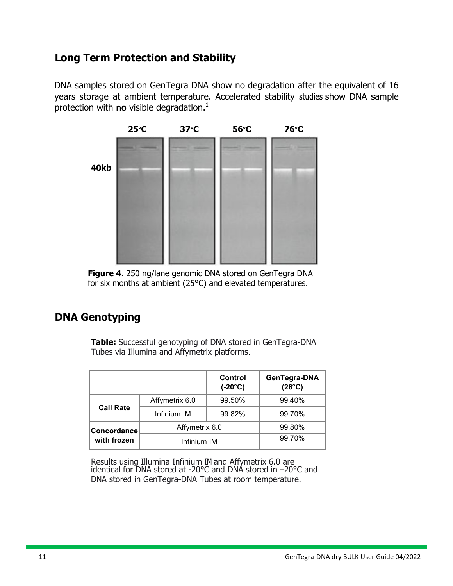# **Long Term Protection and Stability**

DNA samples stored on GenTegra DNA show no degradation after the equivalent of 16 years storage at ambient temperature. Accelerated stability studies show DNA sample protection with no visible degradation. $<sup>1</sup>$ </sup>



**Figure 4.** 250 ng/lane genomic DNA stored on GenTegra DNA for six months at ambient (25°C) and elevated temperatures.

# **DNA Genotyping**

**Table:** Successful genotyping of DNA stored in GenTegra-DNA Tubes via Illumina and Affymetrix platforms.

|                  |                | Control<br>$(-20^{\circ}C)$ | GenTegra-DNA<br>$(26^{\circ}C)$ |
|------------------|----------------|-----------------------------|---------------------------------|
| <b>Call Rate</b> | Affymetrix 6.0 | 99.50%                      | 99.40%                          |
|                  | Infinium IM    | 99.82%                      | 99.70%                          |
| Concordance      | Affymetrix 6.0 |                             | 99.80%                          |
| with frozen      | Infinium IM    |                             | 99.70%                          |

Results using Illumina Infinium IM and Affymetrix 6.0 are identical for DNA stored at -20°C and DNA stored in –20°C and DNA stored in GenTegra-DNA Tubes at room temperature.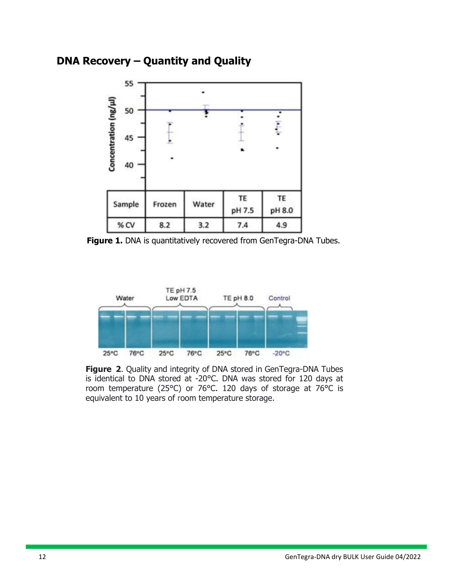### **DNA Recovery – Quantity and Quality**



Figure 1. DNA is quantitatively recovered from GenTegra-DNA Tubes.



**Figure 2**. Quality and integrity of DNA stored in GenTegra-DNA Tubes is identical to DNA stored at -20°C. DNA was stored for 120 days at room temperature (25°C) or 76°C. 120 days of storage at 76°C is equivalent to 10 years of room temperature storage.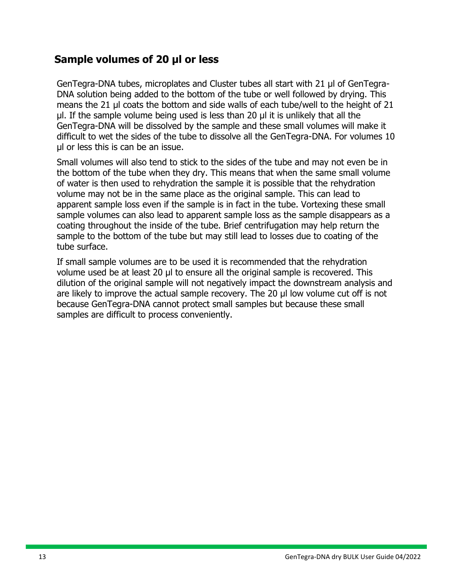### **Sample volumes of 20 µl or less**

GenTegra-DNA tubes, microplates and Cluster tubes all start with 21 µl of GenTegra-DNA solution being added to the bottom of the tube or well followed by drying. This means the 21 µl coats the bottom and side walls of each tube/well to the height of 21 µl. If the sample volume being used is less than 20 µl it is unlikely that all the GenTegra-DNA will be dissolved by the sample and these small volumes will make it difficult to wet the sides of the tube to dissolve all the GenTegra-DNA. For volumes 10 µl or less this is can be an issue.

Small volumes will also tend to stick to the sides of the tube and may not even be in the bottom of the tube when they dry. This means that when the same small volume of water is then used to rehydration the sample it is possible that the rehydration volume may not be in the same place as the original sample. This can lead to apparent sample loss even if the sample is in fact in the tube. Vortexing these small sample volumes can also lead to apparent sample loss as the sample disappears as a coating throughout the inside of the tube. Brief centrifugation may help return the sample to the bottom of the tube but may still lead to losses due to coating of the tube surface.

If small sample volumes are to be used it is recommended that the rehydration volume used be at least 20 µl to ensure all the original sample is recovered. This dilution of the original sample will not negatively impact the downstream analysis and are likely to improve the actual sample recovery. The 20 µl low volume cut off is not because GenTegra-DNA cannot protect small samples but because these small samples are difficult to process conveniently.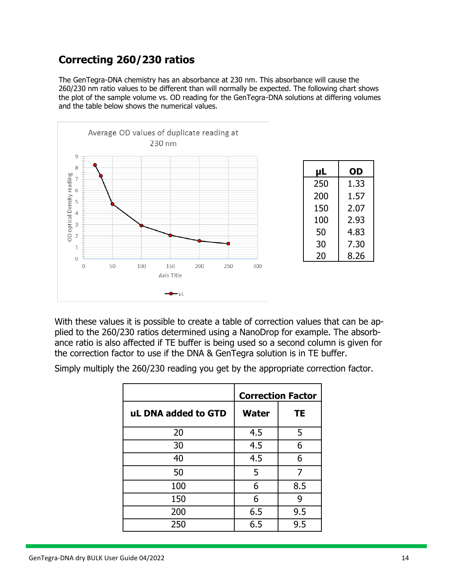# **Correcting 260/230 ratios**

The GenTegra-DNA chemistry has an absorbance at 230 nm. This absorbance will cause the 260/230 nm ratio values to be different than will normally be expected. The following chart shows the plot of the sample volume vs. OD reading for the GenTegra-DNA solutions at differing volumes and the table below shows the numerical values.



With these values it is possible to create a table of correction values that can be applied to the 260/230 ratios determined using a NanoDrop for example. The absorbance ratio is also affected if TE buffer is being used so a second column is given for the correction factor to use if the DNA & GenTegra solution is in TE buffer.

Simply multiply the 260/230 reading you get by the appropriate correction factor.

|                     | <b>Correction Factor</b> |           |  |
|---------------------|--------------------------|-----------|--|
| uL DNA added to GTD | <b>Water</b>             | <b>TE</b> |  |
| 20                  | 4.5                      | 5         |  |
| 30                  | 4.5                      | 6         |  |
| 40                  | 4.5                      | 6         |  |
| 50                  | 5                        | 7         |  |
| 100                 | 6                        | 8.5       |  |
| 150                 | 6                        | 9         |  |
| 200                 | 6.5                      | 9.5       |  |
| 250                 | 6.5                      | 9.5       |  |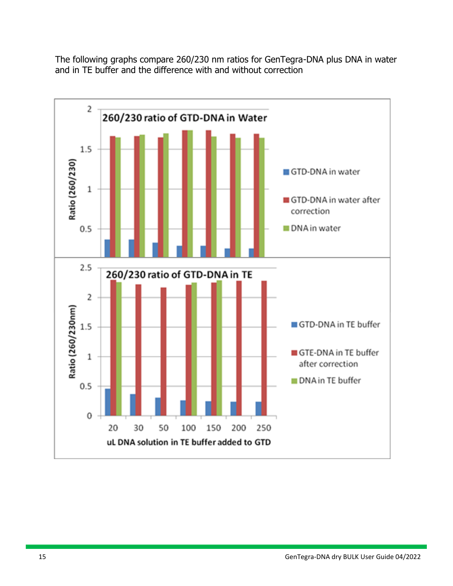The following graphs compare 260/230 nm ratios for GenTegra-DNA plus DNA in water and in TE buffer and the difference with and without correction

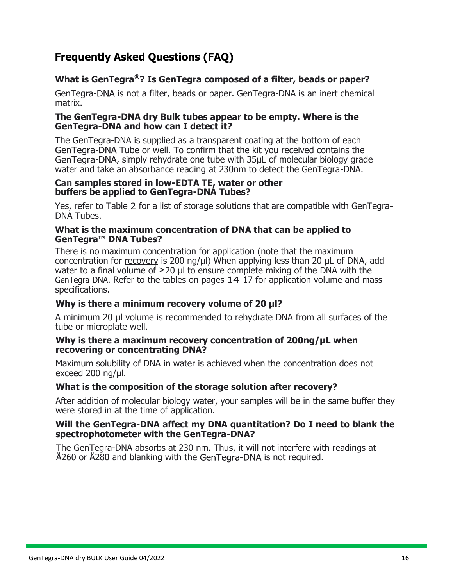# **Frequently Asked Questions (FAQ)**

#### **What is GenTegra®? Is GenTegra composed of a filter, beads or paper?**

GenTegra-DNA is not a filter, beads or paper. GenTegra-DNA is an inert chemical matrix.

#### **The GenTegra-DNA dry Bulk tubes appear to be empty. Where is the GenTegra-DNA and how can I detect it?**

The GenTegra-DNA is supplied as a transparent coating at the bottom of each GenTegra-DNA Tube or well. To confirm that the kit you received contains the GenTegra-DNA, simply rehydrate one tube with 35µL of molecular biology grade water and take an absorbance reading at 230nm to detect the GenTegra-DNA.

#### **Can samples stored in low-EDTA TE, water or other buffers be applied to GenTegra-DNA Tubes?**

Yes, refer to Table 2 for a list of storage solutions that are compatible with GenTegra-DNA Tubes.

#### **What is the maximum concentration of DNA that can be applied to GenTegra™ DNA Tubes?**

There is no maximum concentration for application (note that the maximum concentration for recovery is 200 ng/µl) When applying less than 20 µL of DNA, add water to a final volume of  $\geq 20$  µl to ensure complete mixing of the DNA with the GenTegra-DNA. Refer to the tables on pages  $14-17$  for application volume and mass specifications.

#### **Why is there a minimum recovery volume of 20 µl?**

A minimum 20 µl volume is recommended to rehydrate DNA from all surfaces of the tube or microplate well.

#### **Why is there a maximum recovery concentration of 200ng/µL when recovering or concentrating DNA?**

Maximum solubility of DNA in water is achieved when the concentration does not exceed 200 ng/µl.

#### **What is the composition of the storage solution after recovery?**

After addition of molecular biology water, your samples will be in the same buffer they were stored in at the time of application.

#### **Will the GenTegra-DNA affect my DNA quantitation? Do I need to blank the spectrophotometer with the GenTegra-DNA?**

The GenTegra-DNA absorbs at 230 nm. Thus, it will not interfere with readings at Å260 or Å280 and blanking with the GenTegra-DNA is not required.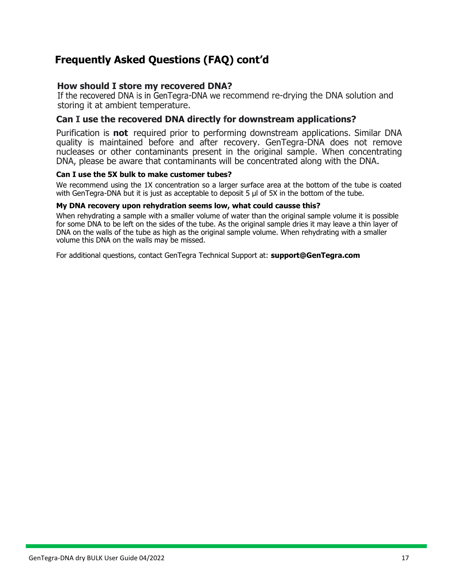# **Frequently Asked Questions (FAQ) cont'd**

#### **How should I store my recovered DNA?**

If the recovered DNA is in GenTegra-DNA we recommend re-drying the DNA solution and storing it at ambient temperature.

#### **Can I use the recovered DNA directly for downstream applications?**

Purification is **not** required prior to performing downstream applications. Similar DNA quality is maintained before and after recovery. GenTegra-DNA does not remove nucleases or other contaminants present in the original sample. When concentrating DNA, please be aware that contaminants will be concentrated along with the DNA.

#### **Can I use the 5X bulk to make customer tubes?**

We recommend using the 1X concentration so a larger surface area at the bottom of the tube is coated with GenTegra-DNA but it is just as acceptable to deposit 5 µl of 5X in the bottom of the tube.

#### **My DNA recovery upon rehydration seems low, what could causse this?**

When rehydrating a sample with a smaller volume of water than the original sample volume it is possible for some DNA to be left on the sides of the tube. As the original sample dries it may leave a thin layer of DNA on the walls of the tube as high as the original sample volume. When rehydrating with a smaller volume this DNA on the walls may be missed.

For additional questions, contact GenTegra Technical Support at: **[support@GenTegra.com](mailto:%20support@integenX.com)**